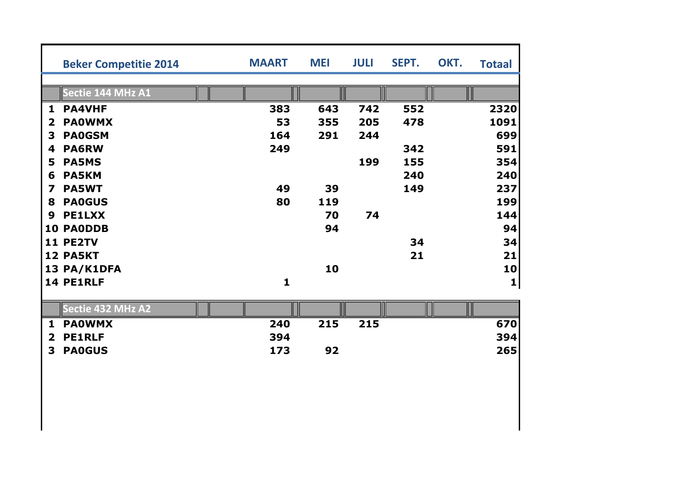|              | <b>Beker Competitie 2014</b> | <b>MAART</b> | <b>MEI</b> | <b>JULI</b> | SEPT. | OKT. | <b>Totaal</b> |
|--------------|------------------------------|--------------|------------|-------------|-------|------|---------------|
|              |                              |              |            |             |       |      |               |
|              | Sectie 144 MHz A1            |              |            |             |       |      |               |
| $\mathbf{1}$ | <b>PA4VHF</b>                | 383          | 643        | 742         | 552   |      | 2320          |
| $\mathbf{2}$ | <b>PAOWMX</b>                | 53           | 355        | 205         | 478   |      | 1091          |
| 3            | <b>PA0GSM</b>                | 164          | 291        | 244         |       |      | 699           |
| 4            | <b>PA6RW</b>                 | 249          |            |             | 342   |      | 591           |
| 5            | <b>PA5MS</b>                 |              |            | 199         | 155   |      | 354           |
| 6            | <b>PA5KM</b>                 |              |            |             | 240   |      | 240           |
| 7            | <b>PA5WT</b>                 | 49           | 39         |             | 149   |      | 237           |
| 8            | <b>PA0GUS</b>                | 80           | 119        |             |       |      | 199           |
| 9            | <b>PE1LXX</b>                |              | 70         | 74          |       |      | 144           |
| 10           | <b>PAODDB</b>                |              | 94         |             |       |      | 94            |
|              | 11 PE2TV                     |              |            |             | 34    |      | 34            |
|              | <b>12 PA5KT</b>              |              |            |             | 21    |      | 21            |
|              | 13 PA/K1DFA                  |              | 10         |             |       |      | 10            |
|              | 14 PE1RLF                    | 1            |            |             |       |      | 1             |
|              |                              |              |            |             |       |      |               |

|   | Sectie 432 MHz A2 i |     |     |     |            |
|---|---------------------|-----|-----|-----|------------|
| 1 | <b>PAOWMX</b>       | 240 | 215 | 215 | 670        |
|   | 2 PE1RLF            | 394 |     |     | <b>394</b> |
|   | 3 PA0GUS            | 173 | 92  |     | 265        |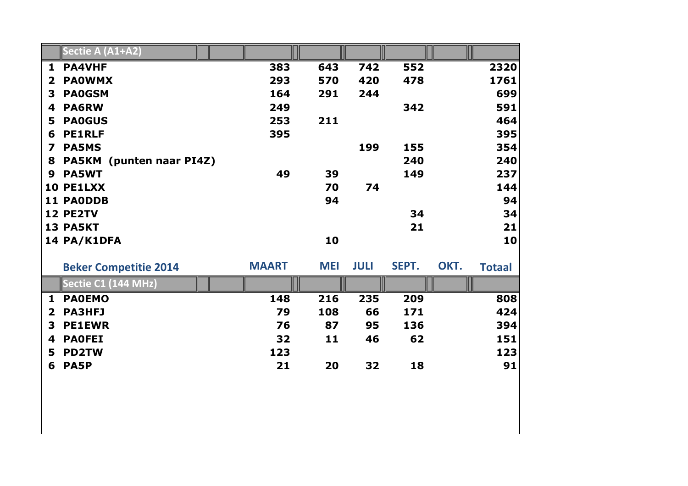|                         | Sectie A (A1+A2)                   |              |            |             |       |      |               |
|-------------------------|------------------------------------|--------------|------------|-------------|-------|------|---------------|
| $\mathbf{1}$            | <b>PA4VHF</b>                      | 383          | 643        | 742         | 552   |      | 2320          |
| $\overline{\mathbf{2}}$ | <b>PAOWMX</b>                      | 293          | 570        | 420         | 478   |      | 1761          |
| 3                       | <b>PA0GSM</b>                      | 164          | 291        | 244         |       |      | 699           |
| 4                       | <b>PA6RW</b>                       | 249          |            |             | 342   |      | 591           |
| 5                       | <b>PAOGUS</b>                      | 253          | 211        |             |       |      | 464           |
| 6                       | <b>PE1RLF</b>                      | 395          |            |             |       |      | 395           |
| $\overline{\mathbf{z}}$ | <b>PA5MS</b>                       |              |            | 199         | 155   |      | 354           |
| 8                       | <b>PA5KM</b><br>(punten naar PI4Z) |              |            |             | 240   |      | 240           |
| 9                       | <b>PA5WT</b>                       | 49           | 39         |             | 149   |      | 237           |
|                         | 10 PE1LXX                          |              | 70         | 74          |       |      | 144           |
|                         | <b>11 PAODDB</b>                   |              | 94         |             |       |      | 94            |
|                         | 12 PE2TV                           |              |            |             | 34    |      | 34            |
|                         | 13 PA5KT                           |              |            |             | 21    |      | 21            |
|                         | 14 PA/K1DFA                        |              | 10         |             |       |      | 10            |
|                         | <b>Beker Competitie 2014</b>       | <b>MAART</b> | <b>MEI</b> | <b>JULI</b> | SEPT. | OKT. | <b>Totaal</b> |
|                         | Sectie C1 (144 MHz)                |              |            |             |       |      |               |
| $\mathbf{1}$            | <b>PAOEMO</b>                      | 148          | 216        | 235         | 209   |      | 808           |
| $\overline{2}$          | <b>PA3HFJ</b>                      | 79           | 108        | 66          | 171   |      | 424           |
| 3                       | <b>PE1EWR</b>                      | 76           | 87         | 95          | 136   |      | 394           |
| 4                       | <b>PAOFEI</b>                      | 32           | 11         | 46          | 62    |      | 151           |
| 5                       | <b>PD2TW</b>                       | 123          |            |             |       |      | 123           |
| 6                       | <b>PA5P</b>                        | 21           | 20         | 32          | 18    |      | 91            |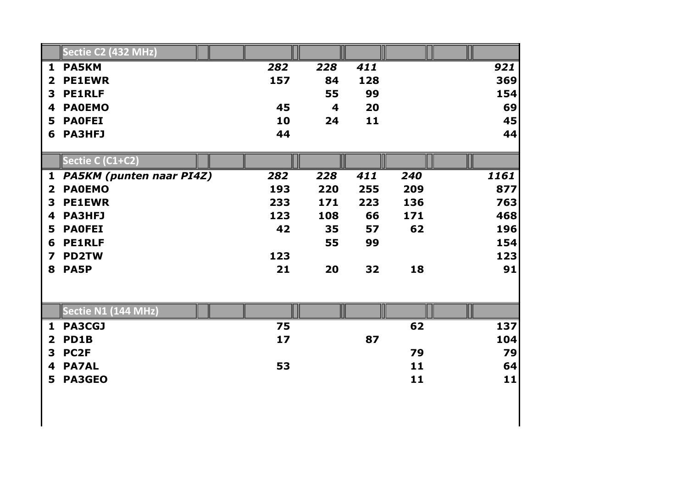|                         | Sectie C2 (432 MHz)             |     |     |     |     |      |
|-------------------------|---------------------------------|-----|-----|-----|-----|------|
| $\mathbf{1}$            | <b>PA5KM</b>                    | 282 | 228 | 411 |     | 921  |
| $\mathbf 2$             | <b>PE1EWR</b>                   | 157 | 84  | 128 |     | 369  |
| 3                       | <b>PE1RLF</b>                   |     | 55  | 99  |     | 154  |
| 4                       | <b>PAOEMO</b>                   | 45  | 4   | 20  |     | 69   |
| 5                       | <b>PAOFEI</b>                   | 10  | 24  | 11  |     | 45   |
| 6                       | <b>PA3HFJ</b>                   | 44  |     |     |     | 44   |
|                         |                                 |     |     |     |     |      |
|                         | Sectie C (C1+C2)                |     |     |     |     |      |
| 1                       | <b>PA5KM</b> (punten naar PI4Z) | 282 | 228 | 411 | 240 | 1161 |
| $\overline{\mathbf{2}}$ | <b>PAOEMO</b>                   | 193 | 220 | 255 | 209 | 877  |
| 3                       | <b>PE1EWR</b>                   | 233 | 171 | 223 | 136 | 763  |
| 4                       | <b>PA3HFJ</b>                   | 123 | 108 | 66  | 171 | 468  |
| 5                       | <b>PAOFEI</b>                   | 42  | 35  | 57  | 62  | 196  |
| 6                       | <b>PE1RLF</b>                   |     | 55  | 99  |     | 154  |
| 7                       | <b>PD2TW</b>                    | 123 |     |     |     | 123  |
| 8                       | <b>PA5P</b>                     | 21  | 20  | 32  | 18  | 91   |
|                         |                                 |     |     |     |     |      |
|                         | Sectie N1 (144 MHz)             |     |     |     |     |      |
| $\mathbf{1}$            | <b>PA3CGJ</b>                   | 75  |     |     | 62  | 137  |
| $\overline{\mathbf{2}}$ | PD1B                            | 17  |     | 87  |     | 104  |
| 3                       | PC <sub>2F</sub>                |     |     |     | 79  | 79   |
| 4                       | <b>PA7AL</b>                    | 53  |     |     | 11  | 64   |
| 5                       | <b>PA3GEO</b>                   |     |     |     | 11  | 11   |
|                         |                                 |     |     |     |     |      |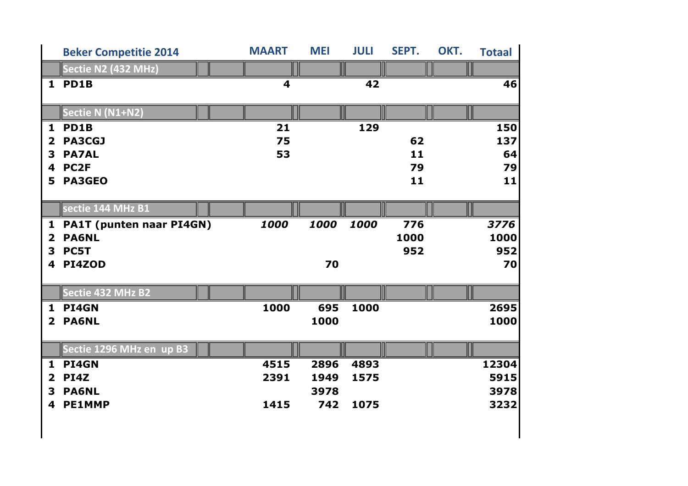|                         | <b>Beker Competitie 2014</b>    | <b>MAART</b>            | <b>MEI</b> | <b>JULI</b> | SEPT. | OKT. | <b>Totaal</b> |
|-------------------------|---------------------------------|-------------------------|------------|-------------|-------|------|---------------|
|                         | Sectie N2 (432 MHz)             |                         |            |             |       |      |               |
| $\mathbf{1}$            | PD1B                            | $\overline{\mathbf{4}}$ |            | 42          |       |      | 46            |
|                         |                                 |                         |            |             |       |      |               |
|                         | Sectie N (N1+N2)                |                         |            |             |       |      |               |
| $\mathbf{1}$            | PD1B                            | 21                      |            | 129         |       |      | 150           |
| $\mathbf{2}$            | <b>PA3CGJ</b>                   | 75                      |            |             | 62    |      | 137           |
| 3                       | <b>PA7AL</b>                    | 53                      |            |             | 11    |      | 64            |
| 4                       | PC <sub>2F</sub>                |                         |            |             | 79    |      | 79            |
| 5                       | <b>PA3GEO</b>                   |                         |            |             | 11    |      | 11            |
|                         |                                 |                         |            |             |       |      |               |
|                         | sectie 144 MHz B1               |                         |            |             |       |      |               |
| $\mathbf{1}$            | <b>PA1T (punten naar PI4GN)</b> | 1000                    | 1000       | 1000        | 776   |      | 3776          |
| $\overline{\mathbf{2}}$ | <b>PA6NL</b>                    |                         |            |             | 1000  |      | 1000          |
| 3                       | PC5T                            |                         |            |             | 952   |      | 952           |
| 4                       | PI4ZOD                          |                         | 70         |             |       |      | 70            |
|                         |                                 |                         |            |             |       |      |               |
|                         | Sectie 432 MHz B2               |                         |            |             |       |      |               |
| $\mathbf{1}$            | PI4GN                           | 1000                    | 695        | 1000        |       |      | 2695          |
| $\overline{2}$          | <b>PA6NL</b>                    |                         | 1000       |             |       |      | 1000          |
|                         |                                 |                         |            |             |       |      |               |
|                         | Sectie 1296 MHz en up B3        |                         |            |             |       |      |               |
| $\mathbf{1}$            | PI4GN                           | 4515                    | 2896       | 4893        |       |      | 12304         |
| $\overline{\mathbf{2}}$ | <b>PI4Z</b>                     | 2391                    | 1949       | 1575        |       |      | 5915          |
| 3                       | <b>PA6NL</b>                    |                         | 3978       |             |       |      | 3978          |
| 4                       | <b>PE1MMP</b>                   | 1415                    | 742        | 1075        |       |      | 3232          |
|                         |                                 |                         |            |             |       |      |               |
|                         |                                 |                         |            |             |       |      |               |